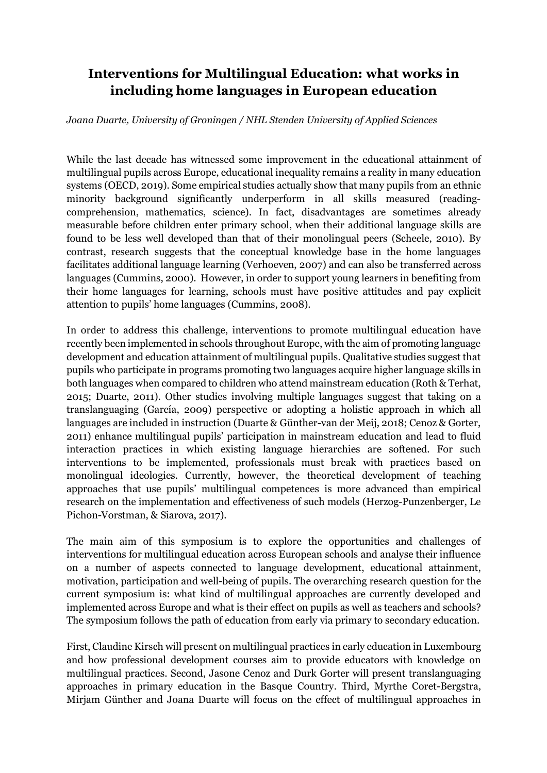# **Interventions for Multilingual Education: what works in including home languages in European education**

### *Joana Duarte, University of Groningen / NHL Stenden University of Applied Sciences*

While the last decade has witnessed some improvement in the educational attainment of multilingual pupils across Europe, educational inequality remains a reality in many education systems (OECD, 2019). Some empirical studies actually show that many pupils from an ethnic minority background significantly underperform in all skills measured (readingcomprehension, mathematics, science). In fact, disadvantages are sometimes already measurable before children enter primary school, when their additional language skills are found to be less well developed than that of their monolingual peers (Scheele, 2010). By contrast, research suggests that the conceptual knowledge base in the home languages facilitates additional language learning (Verhoeven, 2007) and can also be transferred across languages (Cummins, 2000). However, in order to support young learners in benefiting from their home languages for learning, schools must have positive attitudes and pay explicit attention to pupils' home languages (Cummins, 2008).

In order to address this challenge, interventions to promote multilingual education have recently been implemented in schools throughout Europe, with the aim of promoting language development and education attainment of multilingual pupils. Qualitative studies suggest that pupils who participate in programs promoting two languages acquire higher language skills in both languages when compared to children who attend mainstream education (Roth & Terhat, 2015; Duarte, 2011). Other studies involving multiple languages suggest that taking on a translanguaging (García, 2009) perspective or adopting a holistic approach in which all languages are included in instruction (Duarte & Günther-van der Meij, 2018; Cenoz & Gorter, 2011) enhance multilingual pupils' participation in mainstream education and lead to fluid interaction practices in which existing language hierarchies are softened. For such interventions to be implemented, professionals must break with practices based on monolingual ideologies. Currently, however, the theoretical development of teaching approaches that use pupils' multilingual competences is more advanced than empirical research on the implementation and effectiveness of such models (Herzog-Punzenberger, Le Pichon-Vorstman, & Siarova, 2017).

The main aim of this symposium is to explore the opportunities and challenges of interventions for multilingual education across European schools and analyse their influence on a number of aspects connected to language development, educational attainment, motivation, participation and well-being of pupils. The overarching research question for the current symposium is: what kind of multilingual approaches are currently developed and implemented across Europe and what is their effect on pupils as well as teachers and schools? The symposium follows the path of education from early via primary to secondary education.

First, Claudine Kirsch will present on multilingual practices in early education in Luxembourg and how professional development courses aim to provide educators with knowledge on multilingual practices. Second, Jasone Cenoz and Durk Gorter will present translanguaging approaches in primary education in the Basque Country. Third, Myrthe Coret-Bergstra, Mirjam Günther and Joana Duarte will focus on the effect of multilingual approaches in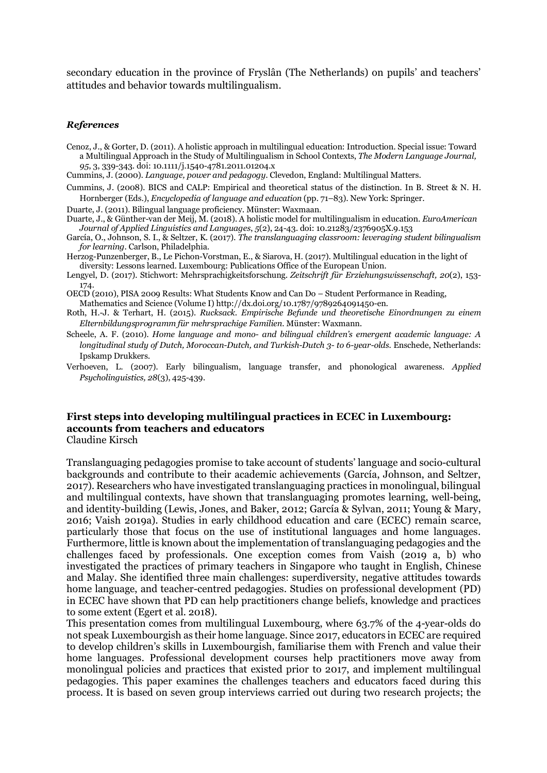secondary education in the province of Fryslân (The Netherlands) on pupils' and teachers' attitudes and behavior towards multilingualism.

#### *References*

- Cenoz, J., & Gorter, D. (2011). A holistic approach in multilingual education: Introduction. Special issue: Toward a Multilingual Approach in the Study of Multilingualism in School Contexts, *The Modern Language Journal, 95*, 3, 339-343*.* doi: 10.1111/j.1540-4781.2011.01204.x
- Cummins, J. (2000). *Language, power and pedagogy*. Clevedon, England: Multilingual Matters.
- Cummins, J. (2008). BICS and CALP: Empirical and theoretical status of the distinction. In B. Street & N. H. Hornberger (Eds.), *Encyclopedia of language and education* (pp. 71–83). New York: Springer.

Duarte, J. (2011). Bilingual language proficiency. Münster: Waxmaan.

- Duarte, J., & Günther-van der Meij, M. (2018). A holistic model for multilingualism in education. *EuroAmerican Journal of Applied Linguistics and Languages*, *5*(2), 24-43. doi: 10.21283/2376905X.9.153
- García, O., Johnson, S. I., & Seltzer, K. (2017). *The translanguaging classroom: leveraging student bilingualism for learning.* Carlson, Philadelphia.
- Herzog-Punzenberger, B., Le Pichon-Vorstman, E., & Siarova, H. (2017). Multilingual education in the light of diversity: Lessons learned. Luxembourg: Publications Office of the European Union.
- Lengyel, D. (2017). Stichwort: Mehrsprachigkeitsforschung. *Zeitschrift für Erziehungswissenschaft, 20*(2), 153- 174.
- OECD (2010), PISA 2009 Results: What Students Know and Can Do Student Performance in Reading, Mathematics and Science (Volume I) http://dx.doi.org/10.1787/9789264091450-en.
- Roth, H.-J. & Terhart, H. (2015). *Rucksack. Empirische Befunde und theoretische Einordnungen zu einem Elternbildungsprogramm für mehrsprachige Familien.* Münster: Waxmann.
- Scheele, A. F. (2010). *Home language and mono- and bilingual children's emergent academic language: A longitudinal study of Dutch, Moroccan-Dutch, and Turkish-Dutch 3- to 6-year-olds.* Enschede, Netherlands: Ipskamp Drukkers.
- Verhoeven, L. (2007). Early bilingualism, language transfer, and phonological awareness. *Applied Psycholinguistics, 28*(3), 425-439.

# **First steps into developing multilingual practices in ECEC in Luxembourg: accounts from teachers and educators**

Claudine Kirsch

Translanguaging pedagogies promise to take account of students' language and socio-cultural backgrounds and contribute to their academic achievements (García, Johnson, and Seltzer, 2017). Researchers who have investigated translanguaging practices in monolingual, bilingual and multilingual contexts, have shown that translanguaging promotes learning, well-being, and identity-building (Lewis, Jones, and Baker, 2012; García & Sylvan, 2011; Young & Mary, 2016; Vaish 2019a). Studies in early childhood education and care (ECEC) remain scarce, particularly those that focus on the use of institutional languages and home languages. Furthermore, little is known about the implementation of translanguaging pedagogies and the challenges faced by professionals. One exception comes from Vaish (2019 a, b) who investigated the practices of primary teachers in Singapore who taught in English, Chinese and Malay. She identified three main challenges: superdiversity, negative attitudes towards home language, and teacher-centred pedagogies. Studies on professional development (PD) in ECEC have shown that PD can help practitioners change beliefs, knowledge and practices to some extent (Egert et al. 2018).

This presentation comes from multilingual Luxembourg, where 63.7% of the 4-year-olds do not speak Luxembourgish as their home language. Since 2017, educators in ECEC are required to develop children's skills in Luxembourgish, familiarise them with French and value their home languages. Professional development courses help practitioners move away from monolingual policies and practices that existed prior to 2017, and implement multilingual pedagogies. This paper examines the challenges teachers and educators faced during this process. It is based on seven group interviews carried out during two research projects; the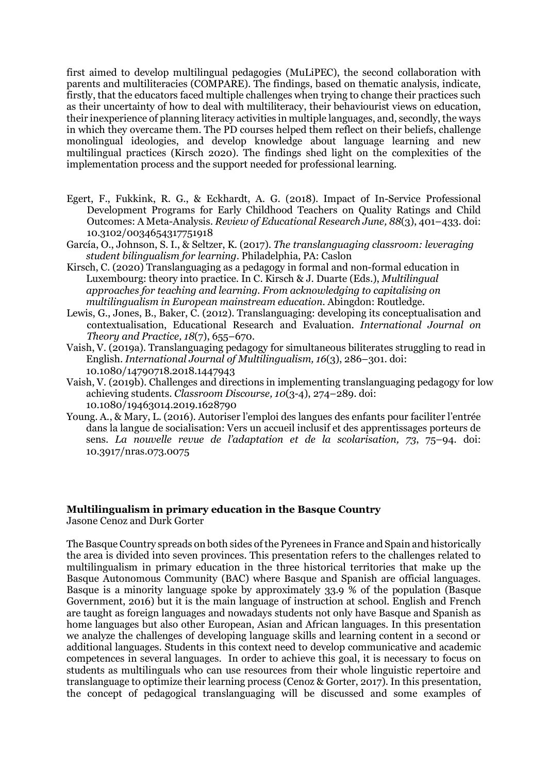first aimed to develop multilingual pedagogies (MuLiPEC), the second collaboration with parents and multiliteracies (COMPARE). The findings, based on thematic analysis, indicate, firstly, that the educators faced multiple challenges when trying to change their practices such as their uncertainty of how to deal with multiliteracy, their behaviourist views on education, their inexperience of planning literacy activities in multiple languages, and, secondly, the ways in which they overcame them. The PD courses helped them reflect on their beliefs, challenge monolingual ideologies, and develop knowledge about language learning and new multilingual practices (Kirsch 2020). The findings shed light on the complexities of the implementation process and the support needed for professional learning.

- Egert, F., Fukkink, R. G., & Eckhardt, A. G. (2018). Impact of In-Service Professional Development Programs for Early Childhood Teachers on Quality Ratings and Child Outcomes: A Meta-Analysis. *Review of Educational Research June, 88*(3), 401–433. doi: 10.3102/0034654317751918
- García, O., Johnson, S. I., & Seltzer, K. (2017). *The translanguaging classroom: leveraging student bilingualism for learning*. Philadelphia, PA: Caslon
- Kirsch, C. (2020) Translanguaging as a pedagogy in formal and non-formal education in Luxembourg: theory into practice. In C. Kirsch & J. Duarte (Eds.), *Multilingual approaches for teaching and learning. From acknowledging to capitalising on multilingualism in European mainstream education.* Abingdon: Routledge.
- Lewis, G., Jones, B., Baker, C. (2012). Translanguaging: developing its conceptualisation and contextualisation, Educational Research and Evaluation. *International Journal on Theory and Practice, 18*(7), 655–670.
- Vaish, V. (2019a). Translanguaging pedagogy for simultaneous biliterates struggling to read in English. *International Journal of Multilingualism, 16*(3), 286–301. doi: 10.1080/14790718.2018.1447943
- Vaish, V. (2019b). Challenges and directions in implementing translanguaging pedagogy for low achieving students. *Classroom Discourse, 10*(3-4), 274–289. doi: 10.1080/19463014.2019.1628790
- Young. A., & Mary, L. (2016). Autoriser l'emploi des langues des enfants pour faciliter l'entrée dans la langue de socialisation: Vers un accueil inclusif et des apprentissages porteurs de sens. *La nouvelle revue de l'adaptation et de la scolarisation, 73*, 75–94. doi: 10.3917/nras.073.0075

### **Multilingualism in primary education in the Basque Country**

Jasone Cenoz and Durk Gorter

The Basque Country spreads on both sides of the Pyrenees in France and Spain and historically the area is divided into seven provinces. This presentation refers to the challenges related to multilingualism in primary education in the three historical territories that make up the Basque Autonomous Community (BAC) where Basque and Spanish are official languages. Basque is a minority language spoke by approximately 33.9 % of the population (Basque Government, 2016) but it is the main language of instruction at school. English and French are taught as foreign languages and nowadays students not only have Basque and Spanish as home languages but also other European, Asian and African languages. In this presentation we analyze the challenges of developing language skills and learning content in a second or additional languages. Students in this context need to develop communicative and academic competences in several languages. In order to achieve this goal, it is necessary to focus on students as multilinguals who can use resources from their whole linguistic repertoire and translanguage to optimize their learning process (Cenoz & Gorter, 2017). In this presentation, the concept of pedagogical translanguaging will be discussed and some examples of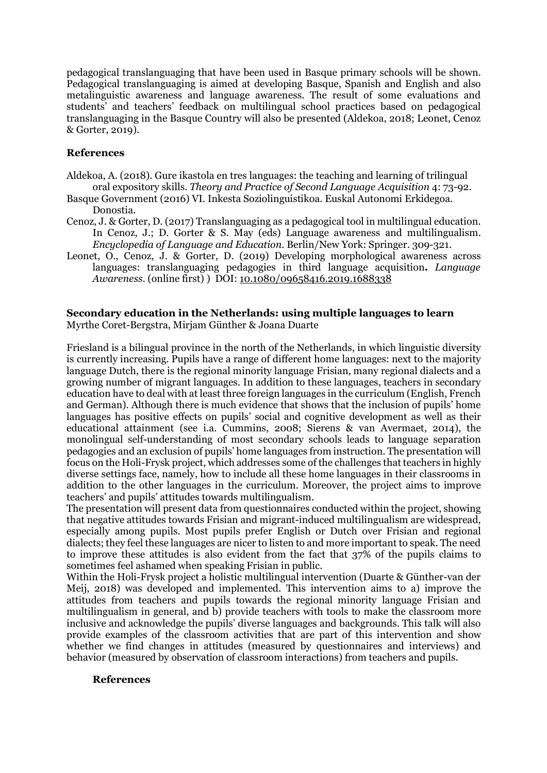pedagogical translanguaging that have been used in Basque primary schools will be shown. Pedagogical translanguaging is aimed at developing Basque, Spanish and English and also metalinguistic awareness and language awareness. The result of some evaluations and students' and teachers' feedback on multilingual school practices based on pedagogical translanguaging in the Basque Country will also be presented (Aldekoa, 2018; Leonet, Cenoz & Gorter, 2019).

## **References**

- Aldekoa, A. (2018). Gure ikastola en tres languages: the teaching and learning of trilingual oral expository skills. *Theory and Practice of Second Language Acquisition* 4: 73-92.
- Basque Government (2016) VI. Inkesta Soziolinguistikoa. Euskal Autonomi Erkidegoa. Donostia.
- Cenoz, J. & Gorter, D. (2017) Translanguaging as a pedagogical tool in multilingual education. In Cenoz, J.; D. Gorter & S. May (eds) Language awareness and multilingualism*. Encyclopedia of Language and Education.* Berlin/New York: Springer. 309-321.
- Leonet, O., Cenoz, J. & Gorter, D. (2019) Developing morphological awareness across languages: translanguaging pedagogies in third language acquisition**.** *Language Awareness*. (online first) ) DOI: 10.1080/09658416.2019.1688338

#### **Secondary education in the Netherlands: using multiple languages to learn** Myrthe Coret-Bergstra, Mirjam Günther & Joana Duarte

Friesland is a bilingual province in the north of the Netherlands, in which linguistic diversity is currently increasing. Pupils have a range of different home languages: next to the majority language Dutch, there is the regional minority language Frisian, many regional dialects and a growing number of migrant languages. In addition to these languages, teachers in secondary education have to deal with at least three foreign languages in the curriculum (English, French and German). Although there is much evidence that shows that the inclusion of pupils' home languages has positive effects on pupils' social and cognitive development as well as their educational attainment (see i.a. Cummins, 2008; Sierens & van Avermaet, 2014), the monolingual self-understanding of most secondary schools leads to language separation pedagogies and an exclusion of pupils' home languages from instruction. The presentation will focus on the Holi-Frysk project, which addresses some of the challenges that teachers in highly diverse settings face, namely, how to include all these home languages in their classrooms in addition to the other languages in the curriculum. Moreover, the project aims to improve teachers' and pupils' attitudes towards multilingualism.

The presentation will present data from questionnaires conducted within the project, showing that negative attitudes towards Frisian and migrant-induced multilingualism are widespread, especially among pupils. Most pupils prefer English or Dutch over Frisian and regional dialects; they feel these languages are nicer to listen to and more important to speak. The need to improve these attitudes is also evident from the fact that 37% of the pupils claims to sometimes feel ashamed when speaking Frisian in public.

Within the Holi-Frysk project a holistic multilingual intervention (Duarte & Günther-van der Meij, 2018) was developed and implemented. This intervention aims to a) improve the attitudes from teachers and pupils towards the regional minority language Frisian and multilingualism in general, and b) provide teachers with tools to make the classroom more inclusive and acknowledge the pupils' diverse languages and backgrounds. This talk will also provide examples of the classroom activities that are part of this intervention and show whether we find changes in attitudes (measured by questionnaires and interviews) and behavior (measured by observation of classroom interactions) from teachers and pupils.

#### **References**